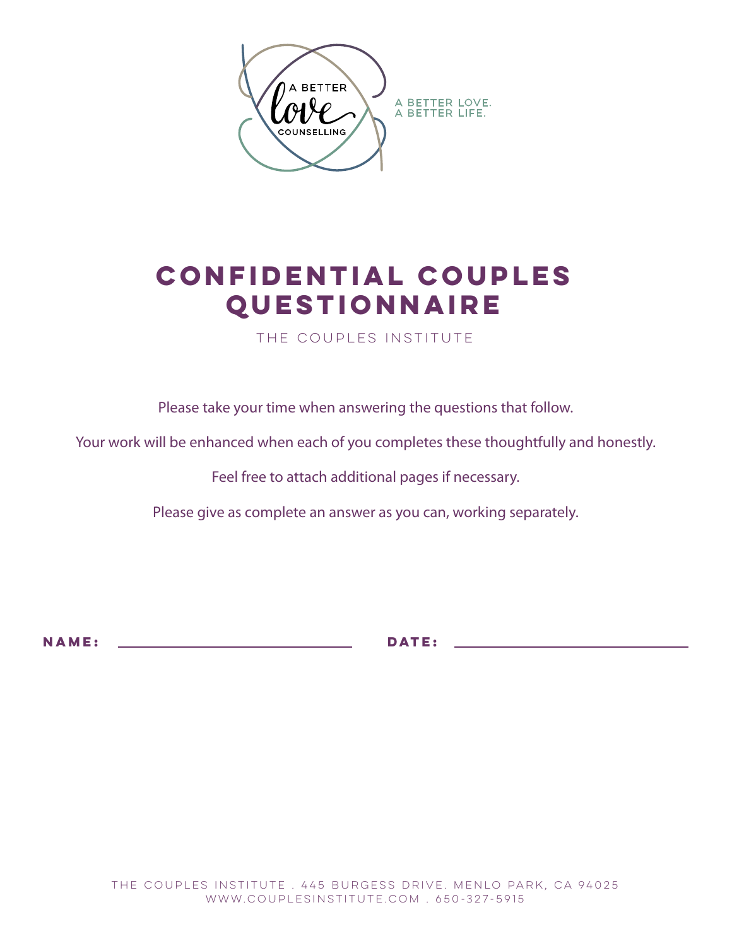

## **Confidential Couples Questionnaire**

The Couples Institute

Please take your time when answering the questions that follow.

Your work will be enhanced when each of you completes these thoughtfully and honestly.

Feel free to attach additional pages if necessary.

Please give as complete an answer as you can, working separately.

**Name: date:**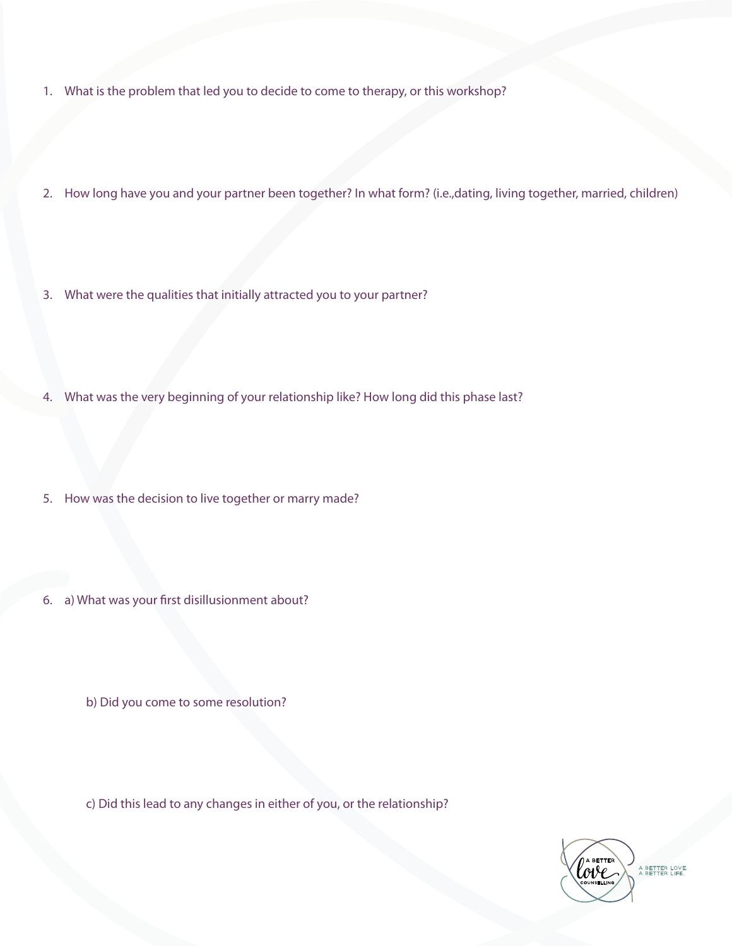- 1. What is the problem that led you to decide to come to therapy, or this workshop?
- 2. How long have you and your partner been together? In what form? (i.e.,dating, living together, married, children)
- 3. What were the qualities that initially attracted you to your partner?
- 4. What was the very beginning of your relationship like? How long did this phase last?
- 5. How was the decision to live together or marry made?
- 6. a) What was your first disillusionment about?
	- b) Did you come to some resolution?

c) Did this lead to any changes in either of you, or the relationship?

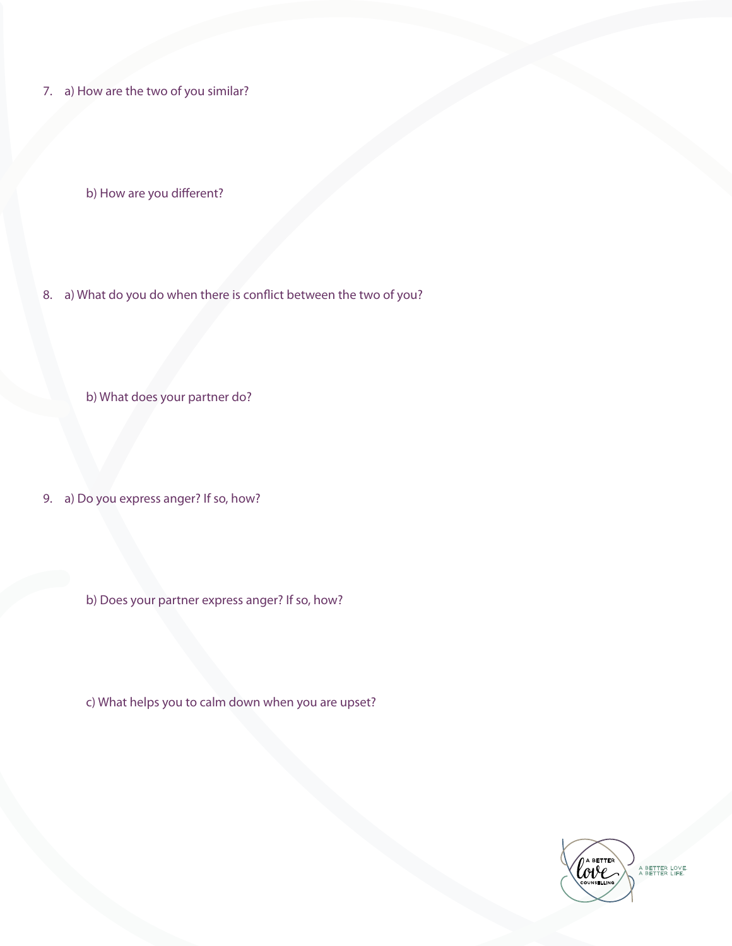7. a) How are the two of you similar?

b) How are you different?

8. a) What do you do when there is conflict between the two of you?

b) What does your partner do?

9. a) Do you express anger? If so, how?

b) Does your partner express anger? If so, how?

c) What helps you to calm down when you are upset?

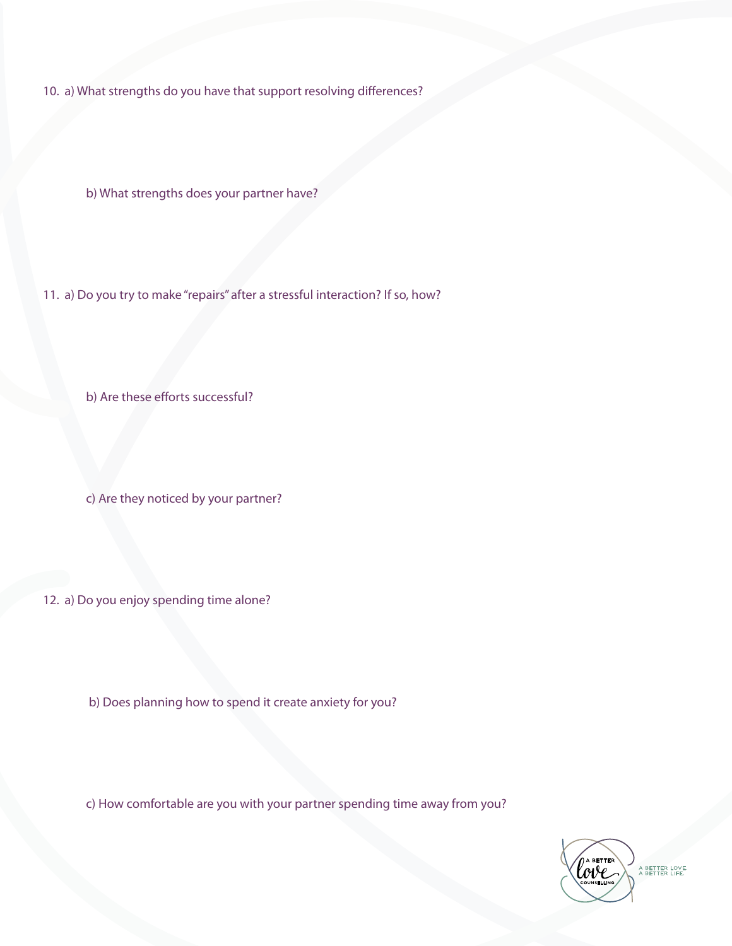10. a) What strengths do you have that support resolving differences?

b) What strengths does your partner have?

11. a) Do you try to make "repairs" after a stressful interaction? If so, how?

b) Are these efforts successful?

c) Are they noticed by your partner?

12. a) Do you enjoy spending time alone?

b) Does planning how to spend it create anxiety for you?

c) How comfortable are you with your partner spending time away from you?



A BETTER LOVE.<br>A BETTER LIFE.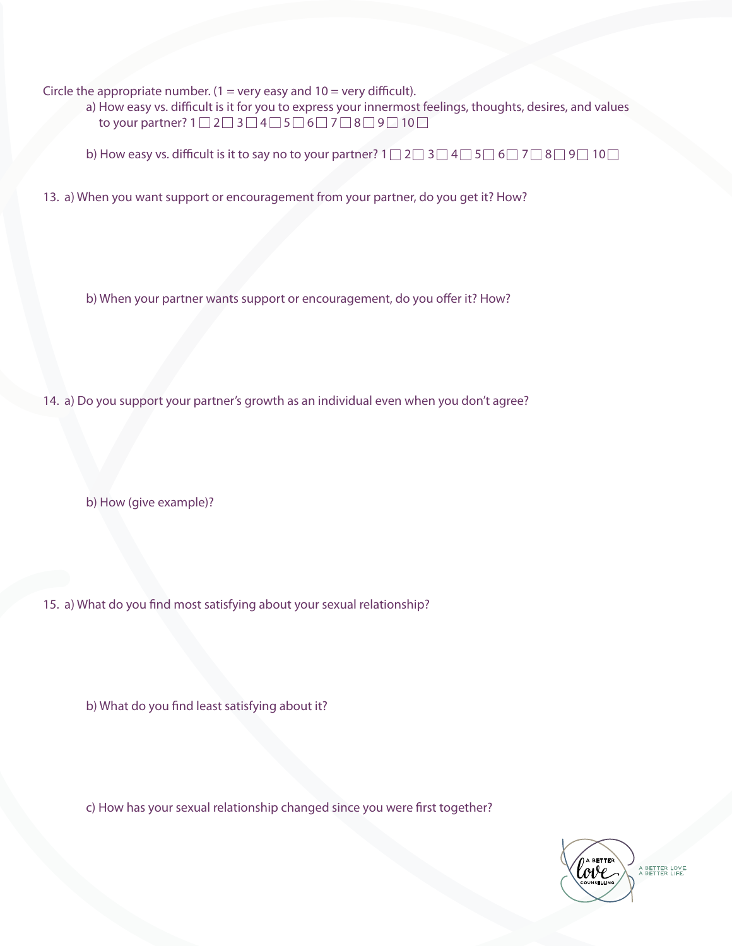Circle the appropriate number.  $(1 = \text{very easy and } 10 = \text{very difficult}).$ 

 a) How easy vs. difficult is it for you to express your innermost feelings, thoughts, desires, and values to your partner?  $1 \square 2 \square 3 \square 4 \square 5 \square 6 \square 7 \square 8 \square 9 \square 10 \square$ 

b) How easy vs. difficult is it to say no to your partner?  $1 \square 2 \square 3 \square 4 \square 5 \square 6 \square 7 \square 8 \square 9 \square 10 \square$ 

13. a) When you want support or encouragement from your partner, do you get it? How?

b) When your partner wants support or encouragement, do you offer it? How?

14. a) Do you support your partner's growth as an individual even when you don't agree?

b) How (give example)?

15. a) What do you find most satisfying about your sexual relationship?

b) What do you find least satisfying about it?

c) How has your sexual relationship changed since you were first together?